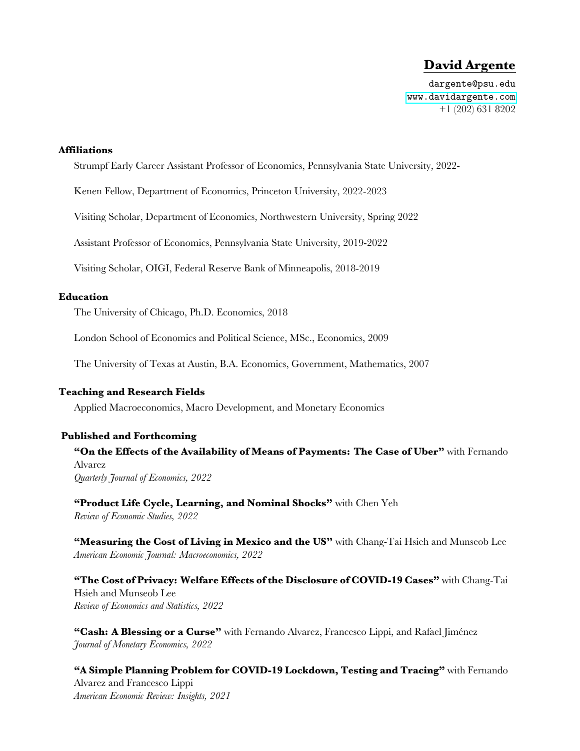# **David Argente**

dargente@psu.edu [www.davidargente.com](http://davidargente.com) +1 (202) 631 8202

#### **Affiliations**

Strumpf Early Career Assistant Professor of Economics, Pennsylvania State University, 2022-

Kenen Fellow, Department of Economics, Princeton University, 2022-2023

Visiting Scholar, Department of Economics, Northwestern University, Spring 2022

Assistant Professor of Economics, Pennsylvania State University, 2019-2022

Visiting Scholar, OIGI, Federal Reserve Bank of Minneapolis, 2018-2019

#### **Education**

The University of Chicago, Ph.D. Economics, 2018

London School of Economics and Political Science, MSc., Economics, 2009

The University of Texas at Austin, B.A. Economics, Government, Mathematics, 2007

#### **Teaching and Research Fields**

Applied Macroeconomics, Macro Development, and Monetary Economics

#### **Published and Forthcoming**

**"On the Effects of the Availability of Means of Payments: The Case of Uber"** with Fernando Alvarez *Quarterly Journal of Economics, 2022*

**"Product Life Cycle, Learning, and Nominal Shocks"** with Chen Yeh *Review of Economic Studies, 2022*

**"Measuring the Cost of Living in Mexico and the US"** with Chang-Tai Hsieh and Munseob Lee *American Economic Journal: Macroeconomics, 2022*

**"The Cost of Privacy: Welfare Effects of the Disclosure of COVID-19 Cases"** with Chang-Tai Hsieh and Munseob Lee *Review of Economics and Statistics, 2022*

**"Cash: A Blessing or a Curse"** with Fernando Alvarez, Francesco Lippi, and Rafael Jiménez *Journal of Monetary Economics, 2022*

**"A Simple Planning Problem for COVID-19 Lockdown, Testing and Tracing"** with Fernando Alvarez and Francesco Lippi *American Economic Review: Insights, 2021*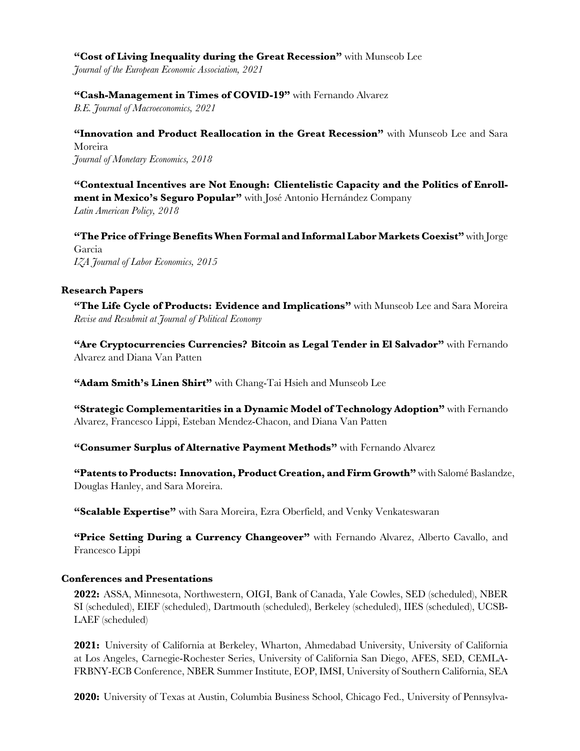#### **"Cost of Living Inequality during the Great Recession"** with Munseob Lee

*Journal of the European Economic Association, 2021*

### **"Cash-Management in Times of COVID-19"** with Fernando Alvarez

*B.E. Journal of Macroeconomics, 2021*

**"Innovation and Product Reallocation in the Great Recession"** with Munseob Lee and Sara Moreira *Journal of Monetary Economics, 2018*

**"Contextual Incentives are Not Enough: Clientelistic Capacity and the Politics of Enrollment in Mexico's Seguro Popular"** with José Antonio Hernández Company *Latin American Policy, 2018*

**"The Price of Fringe Benefits When Formal and Informal Labor Markets Coexist"** with Jorge Garcia *IZA Journal of Labor Economics, 2015*

### **Research Papers**

**"The Life Cycle of Products: Evidence and Implications"** with Munseob Lee and Sara Moreira *Revise and Resubmit at Journal of Political Economy*

**"Are Cryptocurrencies Currencies? Bitcoin as Legal Tender in El Salvador"** with Fernando Alvarez and Diana Van Patten

**"Adam Smith's Linen Shirt"** with Chang-Tai Hsieh and Munseob Lee

**"Strategic Complementarities in a Dynamic Model of Technology Adoption"** with Fernando Alvarez, Francesco Lippi, Esteban Mendez-Chacon, and Diana Van Patten

**"Consumer Surplus of Alternative Payment Methods"** with Fernando Alvarez

**"Patents to Products: Innovation, Product Creation, and Firm Growth"** with Salomé Baslandze, Douglas Hanley, and Sara Moreira.

**"Scalable Expertise"** with Sara Moreira, Ezra Oberfield, and Venky Venkateswaran

**"Price Setting During a Currency Changeover"** with Fernando Alvarez, Alberto Cavallo, and Francesco Lippi

### **Conferences and Presentations**

**2022:** ASSA, Minnesota, Northwestern, OIGI, Bank of Canada, Yale Cowles, SED (scheduled), NBER SI (scheduled), EIEF (scheduled), Dartmouth (scheduled), Berkeley (scheduled), IIES (scheduled), UCSB-LAEF (scheduled)

**2021:** University of California at Berkeley, Wharton, Ahmedabad University, University of California at Los Angeles, Carnegie-Rochester Series, University of California San Diego, AFES, SED, CEMLA-FRBNY-ECB Conference, NBER Summer Institute, EOP, IMSI, University of Southern California, SEA

**2020:** University of Texas at Austin, Columbia Business School, Chicago Fed., University of Pennsylva-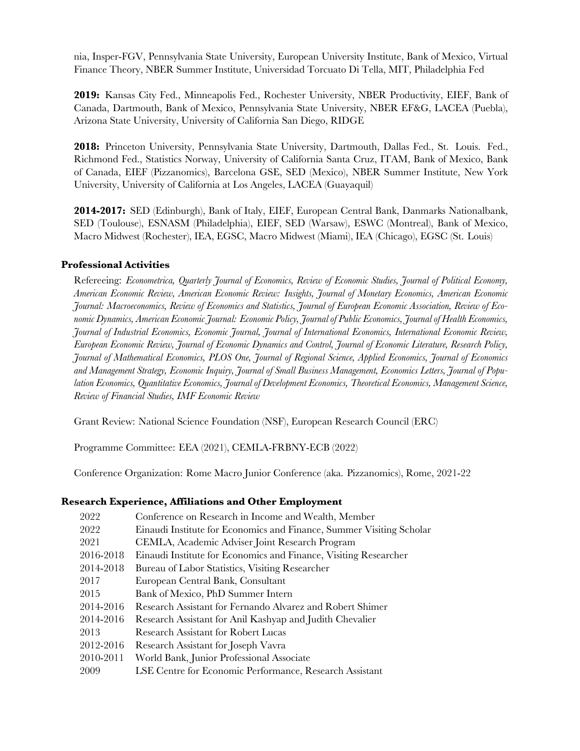nia, Insper-FGV, Pennsylvania State University, European University Institute, Bank of Mexico, Virtual Finance Theory, NBER Summer Institute, Universidad Torcuato Di Tella, MIT, Philadelphia Fed

**2019:** Kansas City Fed., Minneapolis Fed., Rochester University, NBER Productivity, EIEF, Bank of Canada, Dartmouth, Bank of Mexico, Pennsylvania State University, NBER EF&G, LACEA (Puebla), Arizona State University, University of California San Diego, RIDGE

**2018:** Princeton University, Pennsylvania State University, Dartmouth, Dallas Fed., St. Louis. Fed., Richmond Fed., Statistics Norway, University of California Santa Cruz, ITAM, Bank of Mexico, Bank of Canada, EIEF (Pizzanomics), Barcelona GSE, SED (Mexico), NBER Summer Institute, New York University, University of California at Los Angeles, LACEA (Guayaquil)

**2014-2017:** SED (Edinburgh), Bank of Italy, EIEF, European Central Bank, Danmarks Nationalbank, SED (Toulouse), ESNASM (Philadelphia), EIEF, SED (Warsaw), ESWC (Montreal), Bank of Mexico, Macro Midwest (Rochester), IEA, EGSC, Macro Midwest (Miami), IEA (Chicago), EGSC (St. Louis)

## **Professional Activities**

Refereeing: *Econometrica, Quarterly Journal of Economics, Review of Economic Studies, Journal of Political Economy, American Economic Review, American Economic Review: Insights, Journal of Monetary Economics, American Economic Journal: Macroeconomics, Review of Economics and Statistics, Journal of European Economic Association, Review of Economic Dynamics, American Economic Journal: Economic Policy, Journal of Public Economics, Journal of Health Economics, Journal of Industrial Economics, Economic Journal, Journal of International Economics, International Economic Review, European Economic Review, Journal of Economic Dynamics and Control, Journal of Economic Literature, Research Policy, Journal of Mathematical Economics, PLOS One, Journal of Regional Science, Applied Economics, Journal of Economics and Management Strategy, Economic Inquiry, Journal of Small Business Management, Economics Letters, Journal of Population Economics, Quantitative Economics, Journal of Development Economics, Theoretical Economics, Management Science, Review of Financial Studies, IMF Economic Review*

Grant Review: National Science Foundation (NSF), European Research Council (ERC)

Programme Committee: EEA (2021), CEMLA-FRBNY-ECB (2022)

Conference Organization: Rome Macro Junior Conference (aka. Pizzanomics), Rome, 2021-22

### **Research Experience, Affiliations and Other Employment**

| 2022      | Conference on Research in Income and Wealth, Member                  |
|-----------|----------------------------------------------------------------------|
| 2022      | Einaudi Institute for Economics and Finance, Summer Visiting Scholar |
| 2021      | CEMLA, Academic Adviser Joint Research Program                       |
| 2016-2018 | Einaudi Institute for Economics and Finance, Visiting Researcher     |
| 2014-2018 | Bureau of Labor Statistics, Visiting Researcher                      |
| 2017      | European Central Bank, Consultant                                    |
| 2015      | Bank of Mexico, PhD Summer Intern                                    |
| 2014-2016 | Research Assistant for Fernando Alvarez and Robert Shimer            |
| 2014-2016 | Research Assistant for Anil Kashyap and Judith Chevalier             |
| 2013      | Research Assistant for Robert Lucas                                  |
| 2012-2016 | Research Assistant for Joseph Vavra                                  |
| 2010-2011 | World Bank, Junior Professional Associate                            |
| 2009      | LSE Centre for Economic Performance, Research Assistant              |
|           |                                                                      |